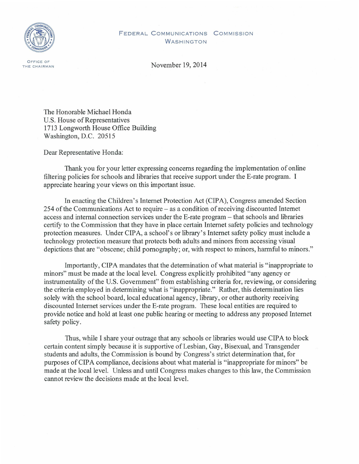

## FEDERAL COMMUNICATIONS COMMISSION WASHINGTON

November 19, 2014

The Honorable Michael Honda U.S. House of Representatives 1713 Longworth House Office Building Washington, D.C. 20515

Dear Representative Honda:

Thank you for your letter expressing concerns regarding the implementation of online filtering policies for schools and libraries that receive support under the E-rate program. I appreciate hearing your views on this important issue.

In enacting the Children's Internet Protection Act (CIPA), Congress amended Section 254 of the Communications Act to require - as a condition of receiving discounted Internet access and internal connection services under the E-rate program – that schools and libraries certify to the Commission that they have in place certain Internet safety policies and technology protection measures. Under CIPA, a school's or library's Internet safety policy must include a technology protection measure that protects both adults and minors from accessing visual depictions that are "obscene; child pornography; or, with respect to minors, harmful to minors."

Importantly, CIPA mandates that the determination of what material is "inappropriate to minors" must be made at the local level. Congress explicitly prohibited "any agency or instrumentality of the U.S. Government" from establishing criteria for, reviewing, or considering the criteria employed in determining what is "inappropriate." Rather, this determination lies solely with the school board, local educational agency, library, or other authority receiving discounted Internet services under the E-rate program. These local entities are required to provide notice and hold at least one public hearing or meeting to address any proposed Internet safety policy.

Thus, while I share your outrage that any schools or libraries would use CIPA to block certain content simply because it is supportive of Lesbian, Gay, Bisexual, and Transgender students and adults, the Commission is bound by Congress's strict determination that, for purposes of CIPA compliance, decisions about what material is "inappropriate for minors" be made at the local level. Unless and until Congress makes changes to this law, the Commission cannot review the decisions made at the local level.